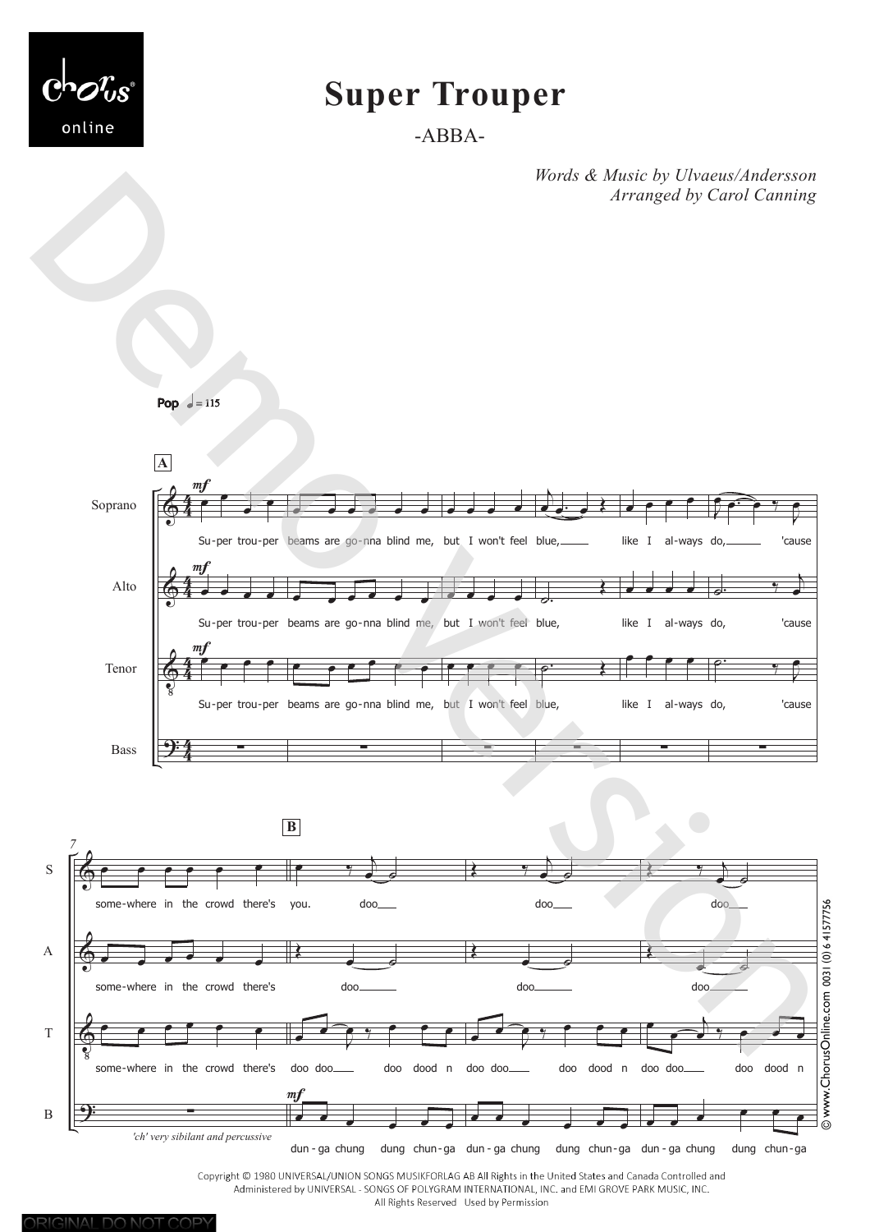

# **Super Trouper**

-ABBA-

*Words & Music by Ulvaeus/Andersson Arranged by Carol Canning*



Copyright © 1980 UNIVERSAL/UNION SONGS MUSIKFORLAG AB All Rights in the United States and Canada Controlled and Administered by UNIVERSAL - SONGS OF POLYGRAM INTERNATIONAL, INC. and EMI GROVE PARK MUSIC, INC. All Rights Reserved Used by Permission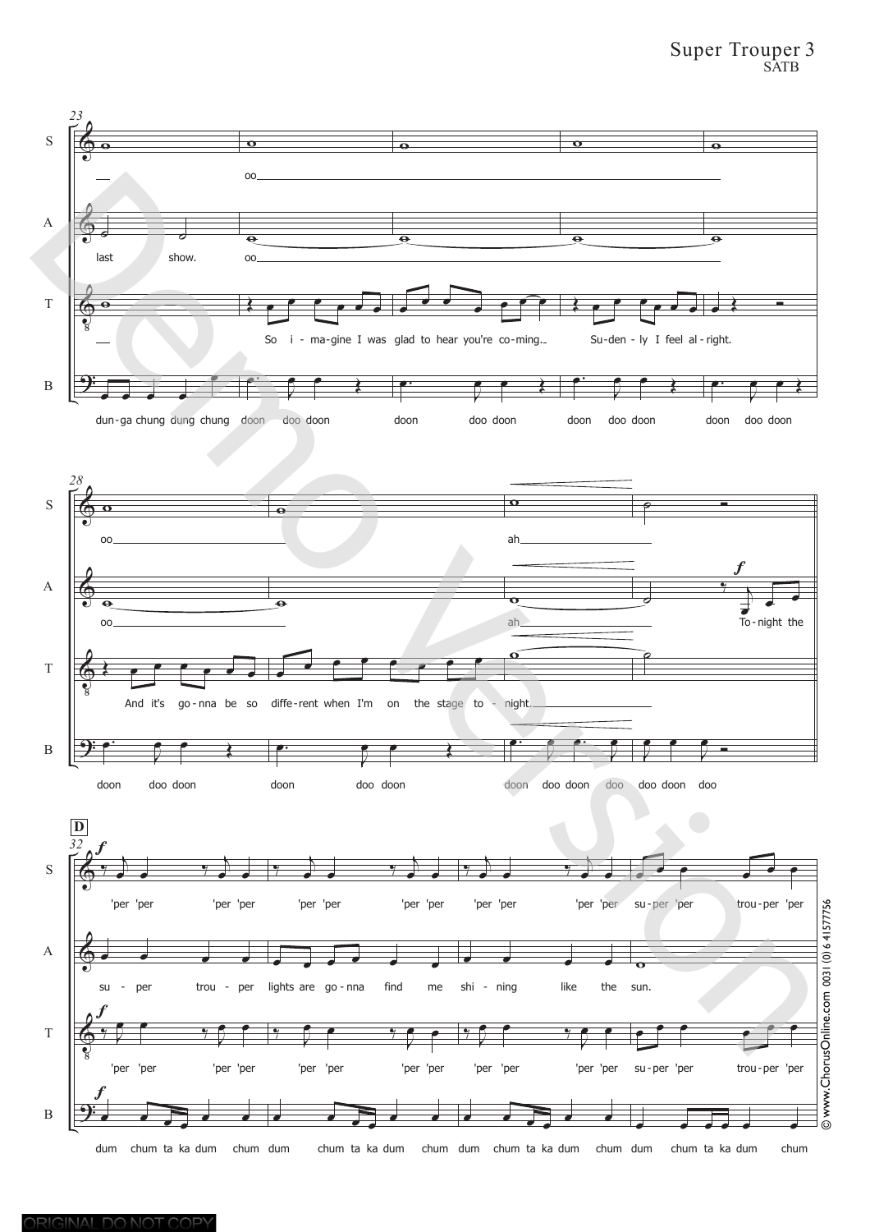# Super Trouper 3 SATB

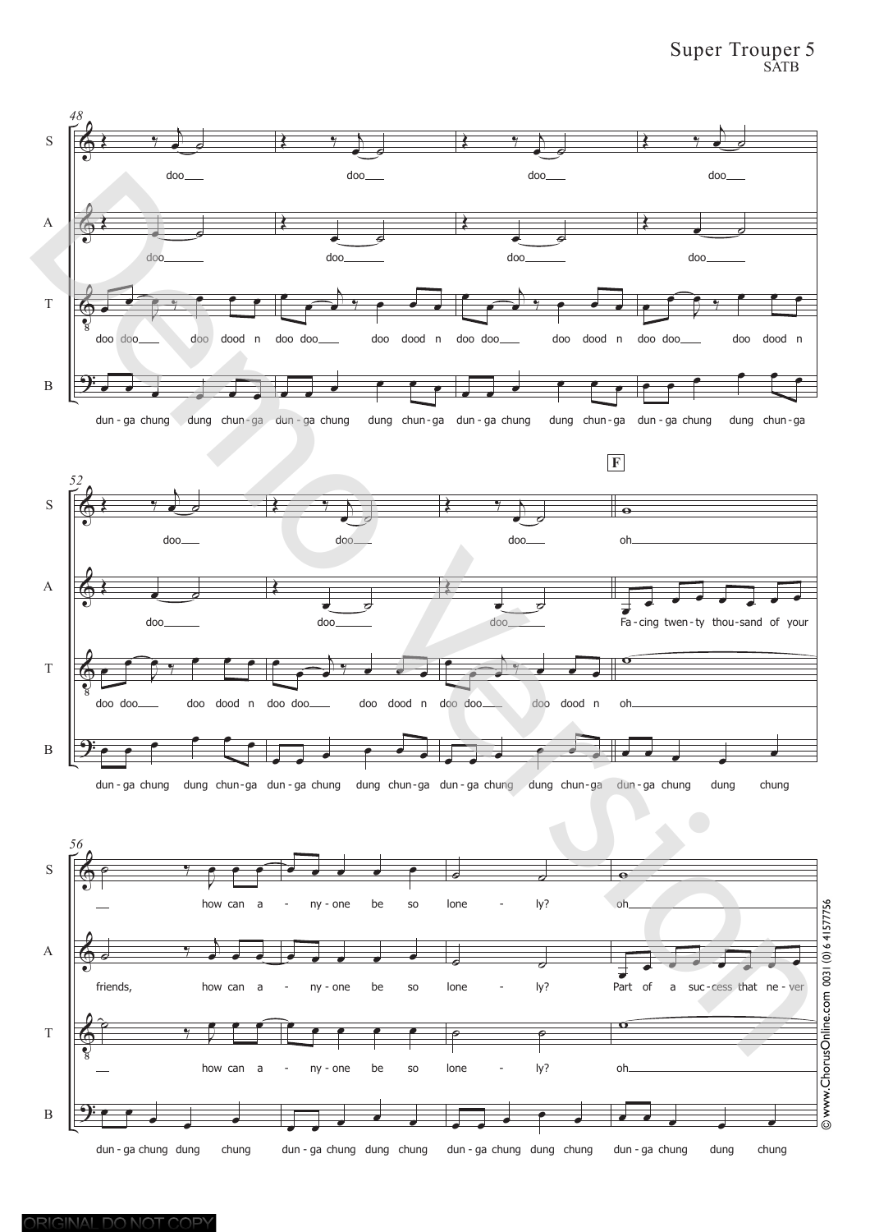# Super Trouper 5 SATB

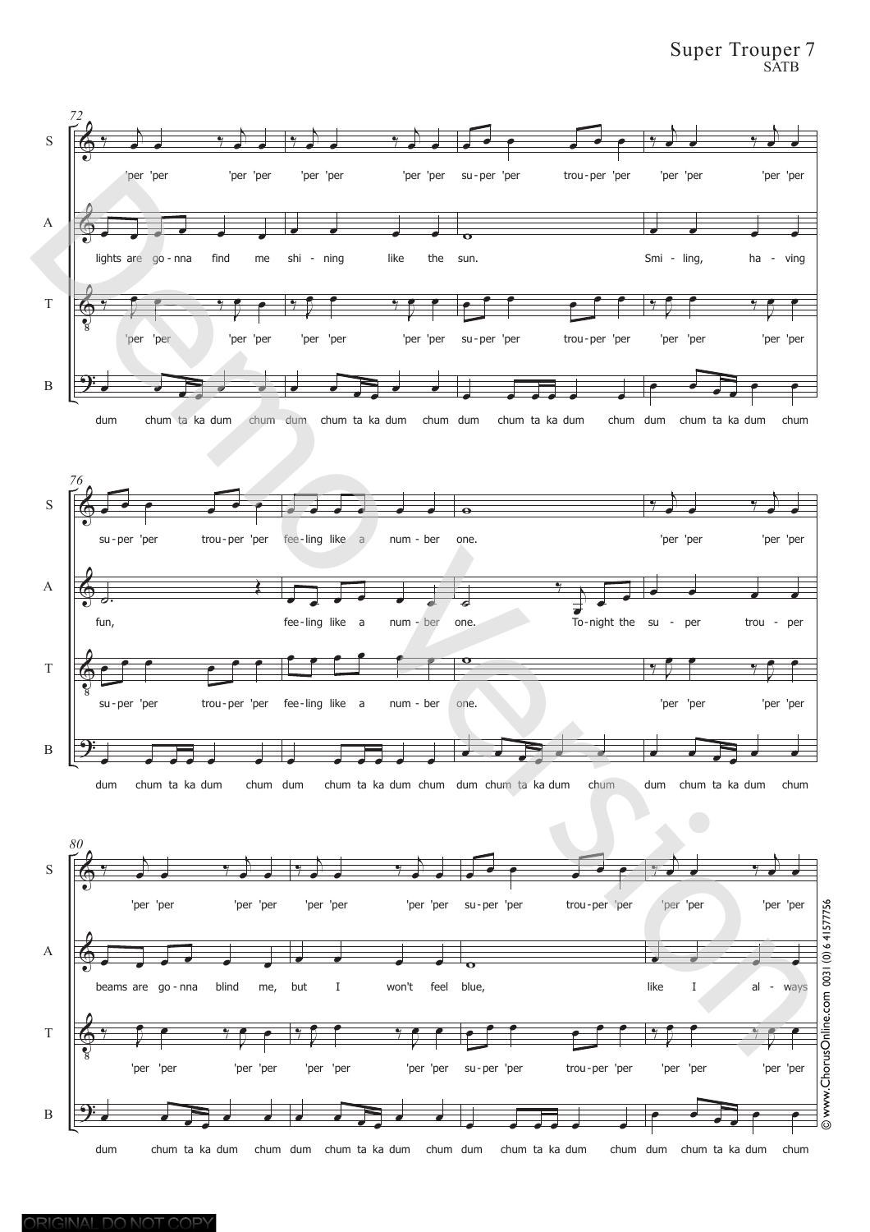# Super Trouper 7 SATB

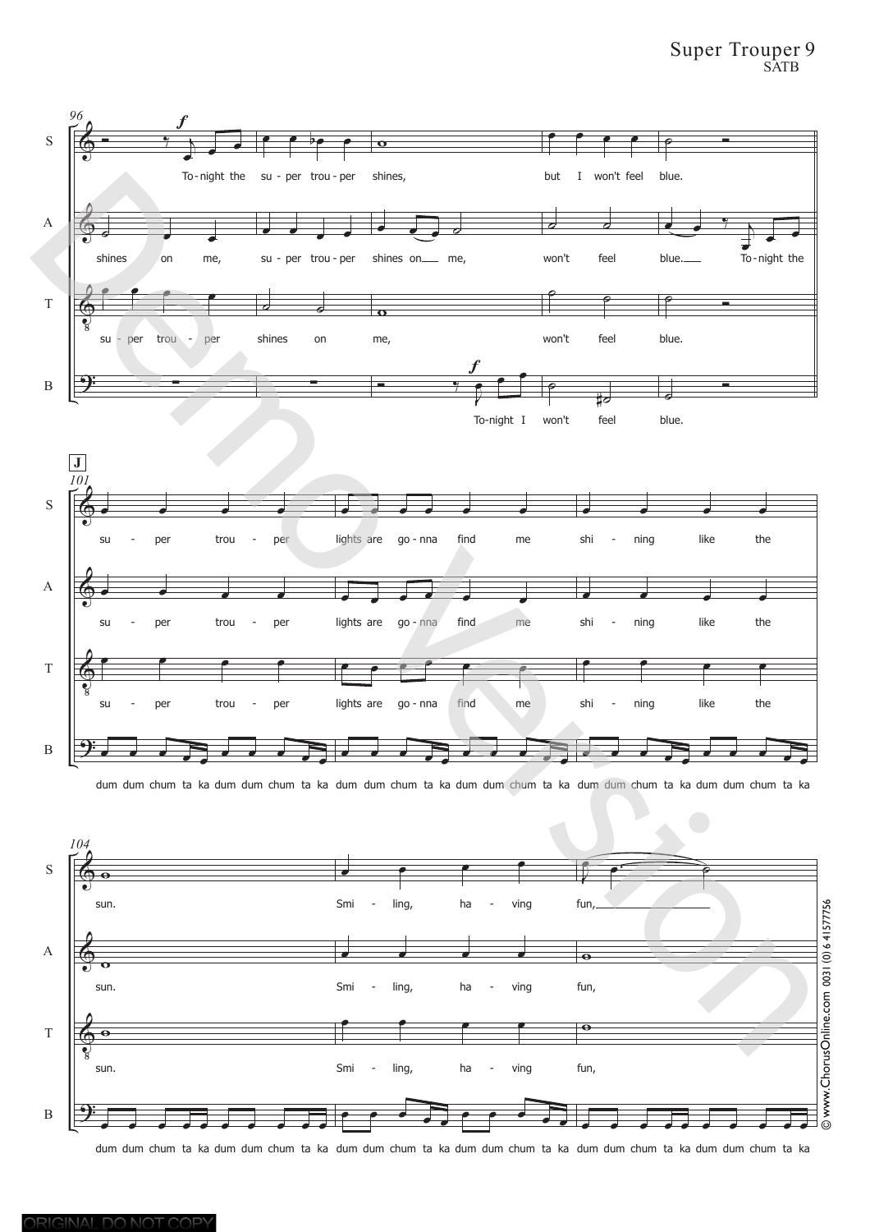## Super Trouper 9 SATB



dum dum chum ta ka dum dum chum ta ka dum dum chum ta ka dum dum chum ta ka dum dum chum ta ka dum dum chum ta ka



dum dum chum ta ka dum dum chum ta ka dum dum chum ta ka dum dum chum ta ka dum dum chum ta ka dum dum chum ta ka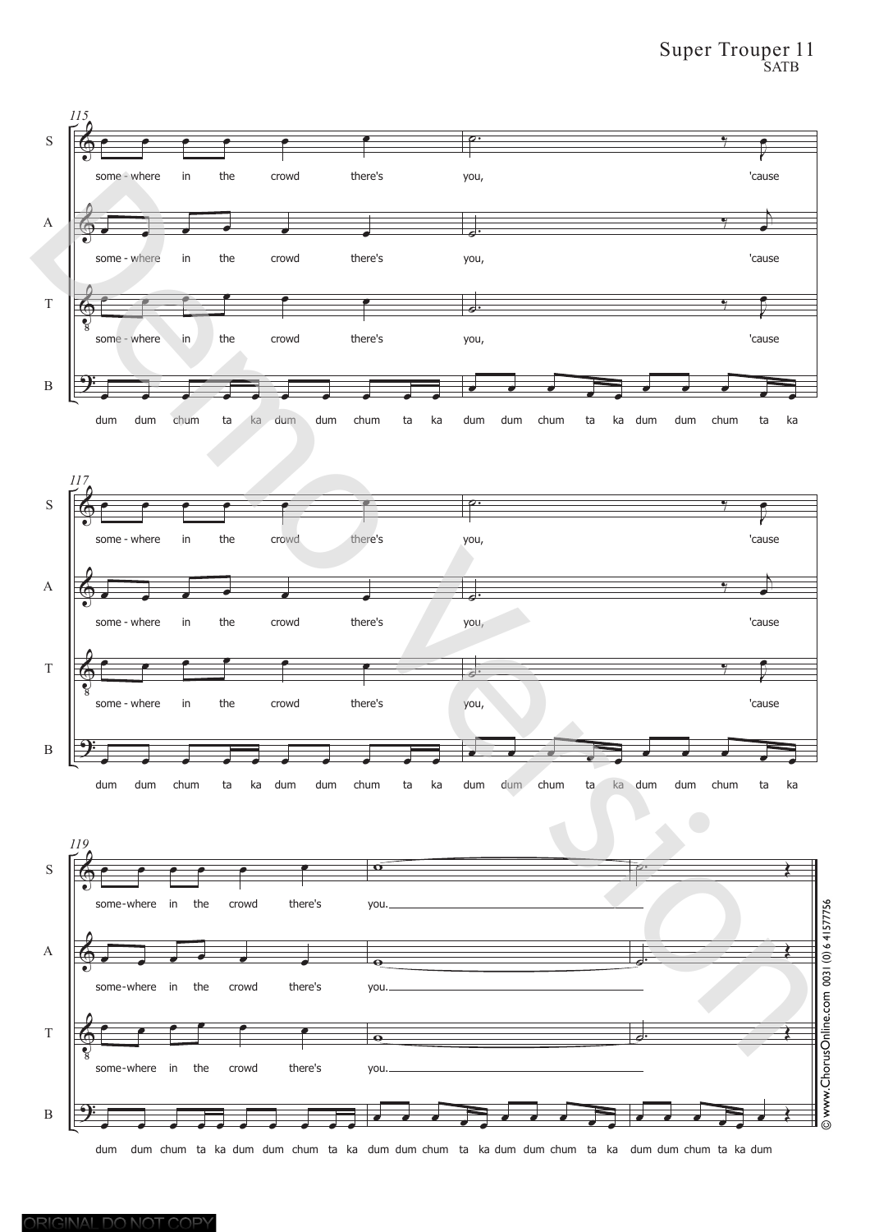